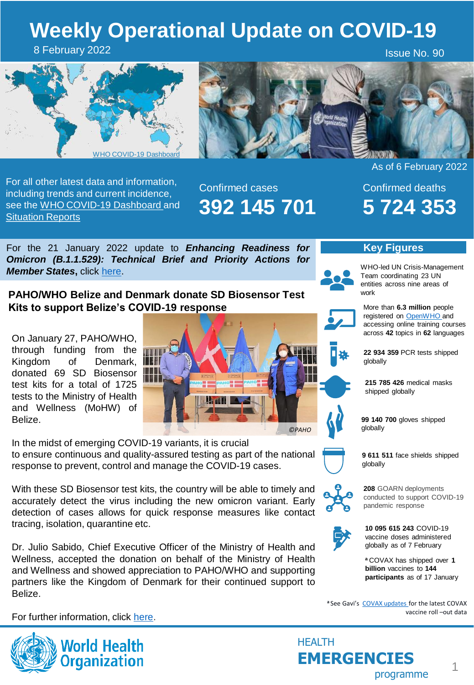# **Weekly Operational Update on COVID-19**

8 February 2022

Issue No. 90





For all other latest data and information, including trends and current incidence, see the [WHO COVID-19 Dashboard](https://covid19.who.int/) and **[Situation Reports](https://www.who.int/emergencies/diseases/novel-coronavirus-2019/situation-reports)** 

Confirmed cases **392 145 701** As of 6 February 2022

Confirmed deaths **5 724 353**

For the 21 January 2022 update to *Enhancing Readiness for Omicron (B.1.1.529): Technical Brief and Priority Actions for Member States***,** click [here](https://www.who.int/publications/m/item/enhancing-readiness-for-omicron-(b.1.1.529)-technical-brief-and-priority-actions-for-member-states).

**PAHO/WHO Belize and Denmark donate SD Biosensor Test Kits to support Belize's COVID-19 response**

On January 27, PAHO/WHO, through funding from the Kingdom of Denmark, donated 69 SD Biosensor test kits for a total of 1725 tests to the Ministry of Health and Wellness (MoHW) of Belize.



In the midst of emerging COVID-19 variants, it is crucial to ensure continuous and quality-assured testing as part of the national response to prevent, control and manage the COVID-19 cases.

With these SD Biosensor test kits, the country will be able to timely and accurately detect the virus including the new omicron variant. Early detection of cases allows for quick response measures like contact tracing, isolation, quarantine etc.

Dr. Julio Sabido, Chief Executive Officer of the Ministry of Health and Wellness, accepted the donation on behalf of the Ministry of Health and Wellness and showed appreciation to PAHO/WHO and supporting partners like the Kingdom of Denmark for their continued support to Belize.

For further information, click [here.](https://www.paho.org/en/news/27-1-2022-pahowho-belize-and-kingdom-denmark-donate-69-sd-biosensor-test-kits-ministry-health)



**10 095 615 243** COVID-19 vaccine doses administered

globally as of 7 February

**208** GOARN deployments conducted to support COVID-19

pandemic response

**<sup>a</sup>**COVAX has shipped over **1 billion** vaccines to **144 participants** as of 17 January

1

a See Gavi's [COVAX updates f](https://www.gavi.org/covax-vaccine-roll-out)or the latest COVAX vaccine roll –out data



WHO-led UN Crisis-Management Team coordinating 23 UN entities across nine areas of work

**Key Figures**

More than **6.3 million** people registered on **[OpenWHO](https://openwho.org/)** and accessing online training courses across **42** topics in **62** languages

**22 934 359** PCR tests shipped globally

**215 785 426** medical masks shipped globally

**99 140 700** gloves shipped globally

**9 611 511** face shields shipped globally

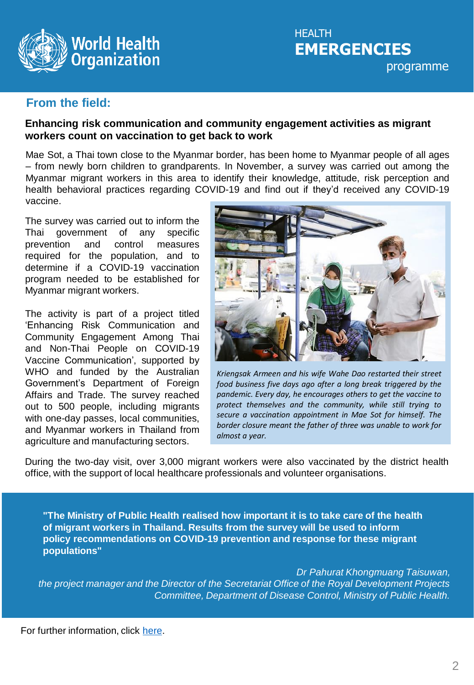

# **From the field:**

#### **Enhancing risk communication and community engagement activities as migrant workers count on vaccination to get back to work**

Mae Sot, a Thai town close to the Myanmar border, has been home to Myanmar people of all ages – from newly born children to grandparents. In November, a survey was carried out among the Myanmar migrant workers in this area to identify their knowledge, attitude, risk perception and health behavioral practices regarding COVID-19 and find out if they'd received any COVID-19 vaccine.

The survey was carried out to inform the Thai government of any specific prevention and control measures required for the population, and to determine if a COVID-19 vaccination program needed to be established for Myanmar migrant workers.

The activity is part of a project titled 'Enhancing Risk Communication and Community Engagement Among Thai and Non-Thai People on COVID-19 Vaccine Communication', supported by WHO and funded by the Australian Government's Department of Foreign Affairs and Trade. The survey reached out to 500 people, including migrants with one-day passes, local communities, and Myanmar workers in Thailand from agriculture and manufacturing sectors.



*Kriengsak Armeen and his wife Wahe Dao restarted their street food business five days ago after a long break triggered by the pandemic. Every day, he encourages others to get the vaccine to protect themselves and the community, while still trying to secure a vaccination appointment in Mae Sot for himself. The border closure meant the father of three was unable to work for almost a year.*

During the two-day visit, over 3,000 migrant workers were also vaccinated by the district health office, with the support of local healthcare professionals and volunteer organisations.

**"The Ministry of Public Health realised how important it is to take care of the health of migrant workers in Thailand. Results from the survey will be used to inform policy recommendations on COVID-19 prevention and response for these migrant populations"**

*Dr Pahurat Khongmuang Taisuwan, the project manager and the Director of the Secretariat Office of the Royal Development Projects Committee, Department of Disease Control, Ministry of Public Health.*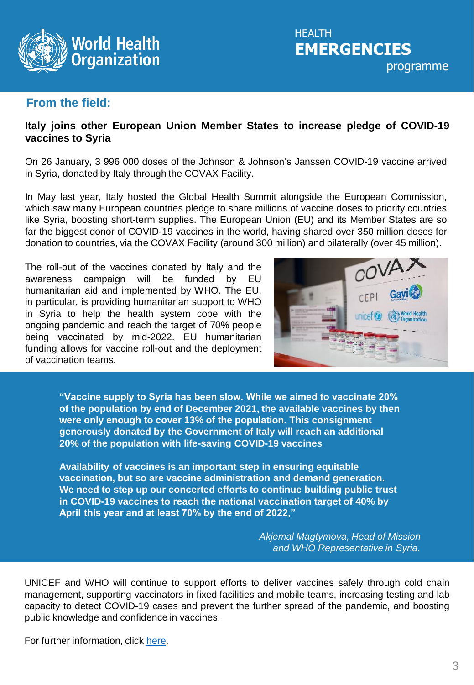

# **From the field:**

#### **Italy joins other European Union Member States to increase pledge of COVID-19 vaccines to Syria**

On 26 January, 3 996 000 doses of the Johnson & Johnson's Janssen COVID-19 vaccine arrived in Syria, donated by Italy through the COVAX Facility.

In May last year, Italy hosted the Global Health Summit alongside the European Commission, which saw many European countries pledge to share millions of vaccine doses to priority countries like Syria, boosting short-term supplies. The European Union (EU) and its Member States are so far the biggest donor of COVID-19 vaccines in the world, having shared over 350 million doses for donation to countries, via the COVAX Facility (around 300 million) and bilaterally (over 45 million).

The roll-out of the vaccines donated by Italy and the awareness campaign will be funded by EU humanitarian aid and implemented by WHO. The EU, in particular, is providing humanitarian support to WHO in Syria to help the health system cope with the ongoing pandemic and reach the target of 70% people being vaccinated by mid-2022. EU humanitarian funding allows for vaccine roll-out and the deployment of vaccination teams.



**"Vaccine supply to Syria has been slow. While we aimed to vaccinate 20% of the population by end of December 2021, the available vaccines by then were only enough to cover 13% of the population. This consignment generously donated by the Government of Italy will reach an additional 20% of the population with life-saving COVID-19 vaccines** 

**Availability of vaccines is an important step in ensuring equitable vaccination, but so are vaccine administration and demand generation. We need to step up our concerted efforts to continue building public trust in COVID-19 vaccines to reach the national vaccination target of 40% by April this year and at least 70% by the end of 2022,"**

> *Akjemal Magtymova, Head of Mission and WHO Representative in Syria.*

UNICEF and WHO will continue to support efforts to deliver vaccines safely through cold chain management, supporting vaccinators in fixed facilities and mobile teams, increasing testing and lab capacity to detect COVID-19 cases and prevent the further spread of the pandemic, and boosting public knowledge and confidence in vaccines.

For further information, click [here](http://www.emro.who.int/syria/news/italy-joins-european-union-member-states-to-increase-pledge-of-covid-19-vaccines-to-syria.html).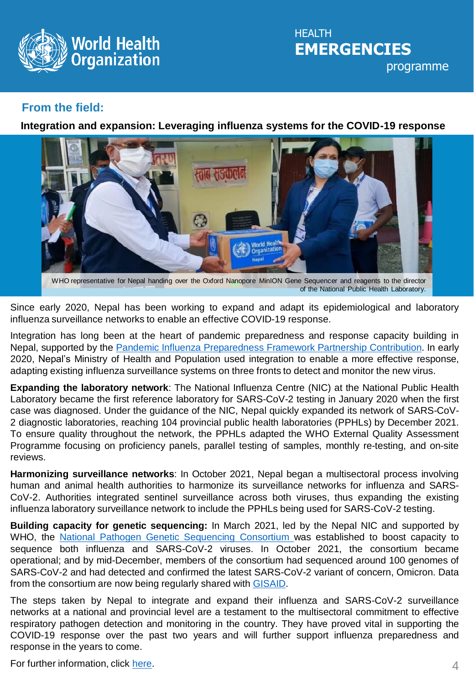

**HFALTH EMERGENCIES** programme

## **From the field:**

**Integration and expansion: Leveraging influenza systems for the COVID-19 response**



WHO representative for Nepal handing over the Oxford Nanopore MinION Gene Sequencer and reagents to the director of the National Public Health Laboratory.

Since early 2020, Nepal has been working to expand and adapt its epidemiological and laboratory influenza surveillance networks to enable an effective COVID-19 response.

Integration has long been at the heart of pandemic preparedness and response capacity building in Nepal, supported by the Pandemic Influenza [Preparedness](https://www.who.int/initiatives/pandemic-influenza-preparedness-framework/partnership-contribution) Framework Partnership Contribution. In early 2020, Nepal's Ministry of Health and Population used integration to enable a more effective response, adapting existing influenza surveillance systems on three fronts to detect and monitor the new virus.

**Expanding the laboratory network**: The National Influenza Centre (NIC) at the National Public Health Laboratory became the first reference laboratory for SARS-CoV-2 testing in January 2020 when the first case was diagnosed. Under the guidance of the NIC, Nepal quickly expanded its network of SARS-CoV-2 diagnostic laboratories, reaching 104 provincial public health laboratories (PPHLs) by December 2021. To ensure quality throughout the network, the PPHLs adapted the WHO External Quality Assessment Programme focusing on proficiency panels, parallel testing of samples, monthly re-testing, and on-site reviews.

**Harmonizing surveillance networks**: In October 2021, Nepal began a multisectoral process involving human and animal health authorities to harmonize its surveillance networks for influenza and SARS-CoV-2. Authorities integrated sentinel surveillance across both viruses, thus expanding the existing influenza laboratory surveillance network to include the PPHLs being used for SARS-CoV-2 testing.

**Building capacity for genetic sequencing:** In March 2021, led by the Nepal NIC and supported by WHO, the National Pathogen Genetic [Sequencing](https://www.who.int/nepal/news/detail/13-12-2021-building-in-country-capacity-for-pathogen-genetic-sequencing-in-nepal) Consortium was established to boost capacity to sequence both influenza and SARS-CoV-2 viruses. In October 2021, the consortium became operational; and by mid-December, members of the consortium had sequenced around 100 genomes of SARS-CoV-2 and had detected and confirmed the latest SARS-CoV-2 variant of concern, Omicron. Data from the consortium are now being regularly shared with [GISAID.](https://www.gisaid.org/)

The steps taken by Nepal to integrate and expand their influenza and SARS-CoV-2 surveillance networks at a national and provincial level are a testament to the multisectoral commitment to effective respiratory pathogen detection and monitoring in the country. They have proved vital in supporting the COVID-19 response over the past two years and will further support influenza preparedness and response in the years to come.

For further information, click [here](https://www.who.int/news/item/03-02-2022-integration-and-expansion-leveraging-influenza-systems-for-the-covid-19-response).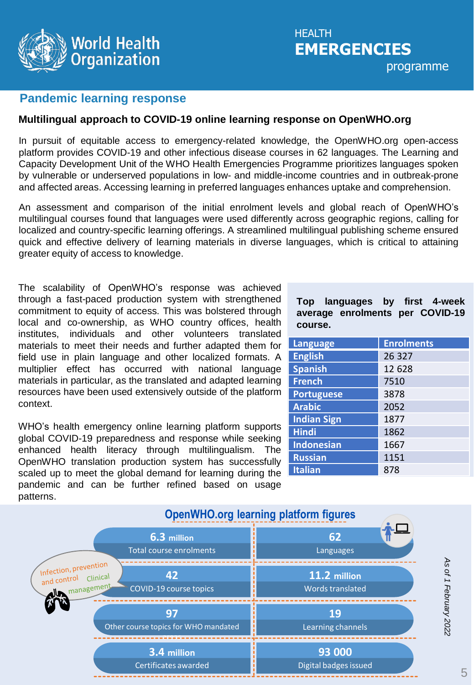

### **Pandemic learning response**

#### **Multilingual approach to COVID-19 online learning response on OpenWHO.org**

In pursuit of equitable access to emergency-related knowledge, the OpenWHO.org open-access platform provides COVID-19 and other infectious disease courses in 62 languages. The Learning and Capacity Development Unit of the WHO Health Emergencies Programme prioritizes languages spoken by vulnerable or underserved populations in low- and middle-income countries and in outbreak-prone and affected areas. Accessing learning in preferred languages enhances uptake and comprehension.

An assessment and comparison of the initial enrolment levels and global reach of OpenWHO's multilingual courses found that languages were used differently across geographic regions, calling for localized and country-specific learning offerings. A streamlined multilingual publishing scheme ensured quick and effective delivery of learning materials in diverse languages, which is critical to attaining greater equity of access to knowledge.

The scalability of OpenWHO's response was achieved through a fast-paced production system with strengthened commitment to equity of access. This was bolstered through local and co-ownership, as WHO country offices, health institutes, individuals and other volunteers translated materials to meet their needs and further adapted them for field use in plain language and other localized formats. A multiplier effect has occurred with national language materials in particular, as the translated and adapted learning resources have been used extensively outside of the platform context.

WHO's health emergency online learning platform supports global COVID-19 preparedness and response while seeking enhanced health literacy through multilingualism. OpenWHO translation production system has successfully scaled up to meet the global demand for learning during the pandemic and can be further refined based on usage patterns.

**Top languages by first 4-week average enrolments per COVID-19 course.**

| Language           | <b>Enrolments</b> |
|--------------------|-------------------|
| <b>English</b>     | 26 3 27           |
| <b>Spanish</b>     | 12 628            |
| <b>French</b>      | 7510              |
| <b>Portuguese</b>  | 3878              |
| <b>Arabic</b>      | 2052              |
| <b>Indian Sign</b> | 1877              |
| <b>Hindi</b>       | 1862              |
| <b>Indonesian</b>  | 1667              |
| <b>Russian</b>     | 1151              |
| <b>Italian</b>     | 878               |



*As of 1 February 2022*

As of 1 February 2022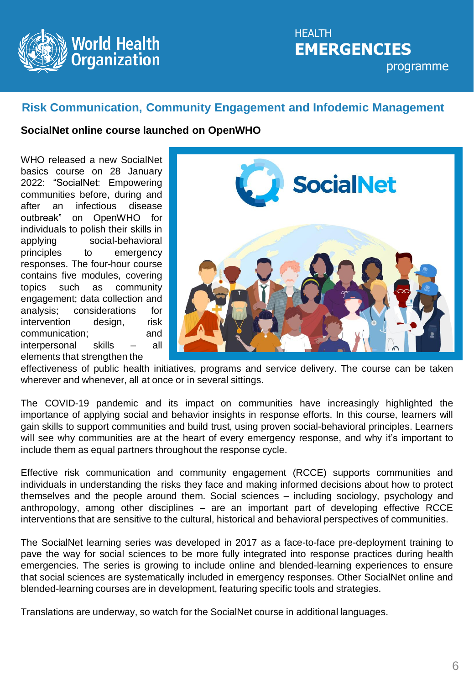

# **HFALTH EMERGENCIES** programme

# **Risk Communication, Community Engagement and Infodemic Management**

#### **SocialNet online course launched on OpenWHO**

WHO released a new SocialNet basics course on 28 January 2022: "SocialNet: Empowering communities before, during and after an infectious disease outbreak" on OpenWHO for individuals to polish their skills in applying social-behavioral principles to emergency responses. The four-hour course contains five modules, covering topics such as community engagement; data collection and analysis; considerations for intervention design, risk communication; and interpersonal skills – all elements that strengthen the



effectiveness of public health initiatives, programs and service delivery. The course can be taken wherever and whenever, all at once or in several sittings.

The COVID-19 pandemic and its impact on communities have increasingly highlighted the importance of applying social and behavior insights in response efforts. In this course, learners will gain skills to support communities and build trust, using proven social-behavioral principles. Learners will see why communities are at the heart of every emergency response, and why it's important to include them as equal partners throughout the response cycle.

Effective risk communication and community engagement (RCCE) supports communities and individuals in understanding the risks they face and making informed decisions about how to protect themselves and the people around them. Social sciences – including sociology, psychology and anthropology, among other disciplines – are an important part of developing effective RCCE interventions that are sensitive to the cultural, historical and behavioral perspectives of communities.

The SocialNet learning series was developed in 2017 as a face-to-face pre-deployment training to pave the way for social sciences to be more fully integrated into response practices during health emergencies. The series is growing to include online and blended-learning experiences to ensure that social sciences are systematically included in emergency responses. Other SocialNet online and blended-learning courses are in development, featuring specific tools and strategies.

Translations are underway, so watch for the SocialNet course in additional languages.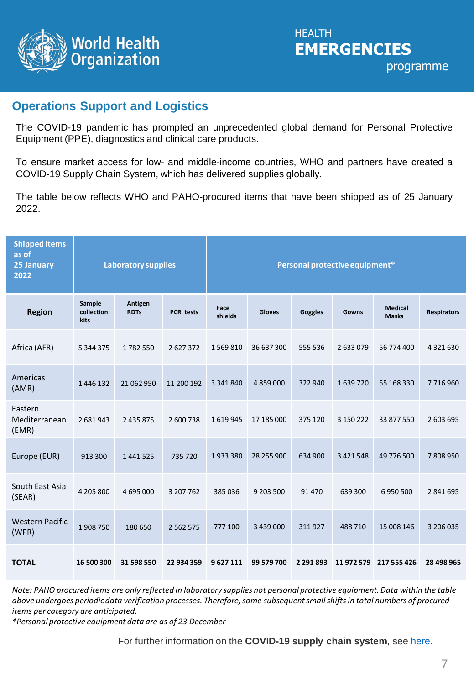

# **Operations Support and Logistics**

The COVID-19 pandemic has prompted an unprecedented global demand for Personal Protective Equipment (PPE), diagnostics and clinical care products.

To ensure market access for low- and middle-income countries, WHO and partners have created a COVID-19 Supply Chain System, which has delivered supplies globally.

The table below reflects WHO and PAHO-procured items that have been shipped as of 25 January 2022.

| <b>Shipped items</b><br>as of<br>25 January<br>2022 |                              | <b>Laboratory supplies</b> |                  |                 |            |               | Personal protective equipment* |                                |                    |
|-----------------------------------------------------|------------------------------|----------------------------|------------------|-----------------|------------|---------------|--------------------------------|--------------------------------|--------------------|
| <b>Region</b>                                       | Sample<br>collection<br>kits | Antigen<br><b>RDTs</b>     | <b>PCR</b> tests | Face<br>shields | Gloves     | Goggles       | Gowns                          | <b>Medical</b><br><b>Masks</b> | <b>Respirators</b> |
| Africa (AFR)                                        | 5 344 375                    | 1782550                    | 2627372          | 1569810         | 36 637 300 | 555 536       | 2 633 079                      | 56 774 400                     | 4 3 2 1 6 3 0      |
| Americas<br>(AMR)                                   | 1446132                      | 21 062 950                 | 11 200 192       | 3 341 840       | 4 859 000  | 322 940       | 1639720                        | 55 168 330                     | 7716960            |
| Eastern<br>Mediterranean<br>(EMR)                   | 2681943                      | 2 4 3 5 8 7 5              | 2 600 738        | 1619945         | 17 185 000 | 375 120       | 3 150 222                      | 33 877 550                     | 2 603 695          |
| Europe (EUR)                                        | 913 300                      | 1 441 525                  | 735 720          | 1933380         | 28 255 900 | 634 900       | 3 4 2 1 5 4 8                  | 49 776 500                     | 7808950            |
| South East Asia<br>(SEAR)                           | 4 205 800                    | 4 695 000                  | 3 207 762        | 385 036         | 9 203 500  | 91 470        | 639 300                        | 6950500                        | 2841695            |
| <b>Western Pacific</b><br>(WPR)                     | 1908 750                     | 180 650                    | 2 5 6 2 5 7 5    | 777 100         | 3 439 000  | 311927        | 488 710                        | 15 008 146                     | 3 206 035          |
| <b>TOTAL</b>                                        | 16 500 300                   | 31 598 550                 | 22 934 359       | 9627111         | 99 579 700 | 2 2 9 1 8 9 3 | 11972579                       | 217 555 426                    | 28 498 965         |

*Note: PAHO procured items are only reflected in laboratory supplies not personal protective equipment. Data within the table above undergoes periodic data verification processes. Therefore, some subsequent small shifts in total numbers of procured items per category are anticipated.*

*\*Personal protective equipment data are as of 23 December*

For further information on the **COVID-19 supply chain system**, see [here.](https://www.who.int/emergencies/diseases/novel-coronavirus-2019/covid-19-operations)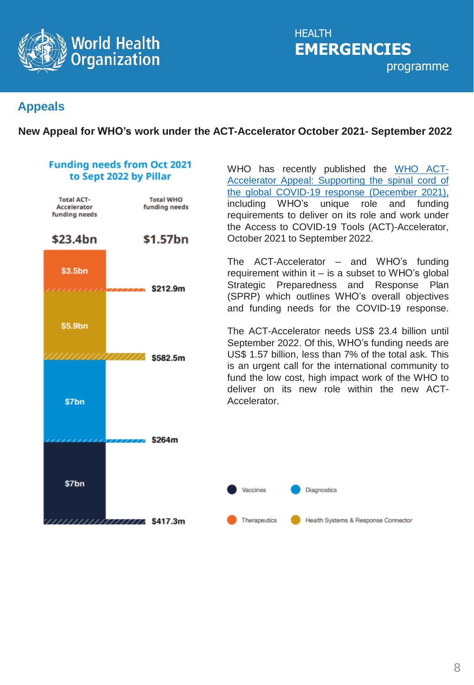

**HEALTH EMERGENCIES** programme

# **Appeals**

#### **New Appeal for WHO's work under the ACT-Accelerator October 2021- September 2022**

#### **Funding needs from Oct 2021** to Sept 2022 by Pillar



WHO has recently published the WHO ACT-[Accelerator](https://www.who.int/publications/m/item/who-act-accelerator-appeal-supporting-the-spinal-cord-of-the-global-covid-19-response-december-2021) Appeal: Supporting the spinal cord of the global COVID-19 response (December 2021), including WHO's unique role and funding requirements to deliver on its role and work under the Access to COVID-19 Tools (ACT)-Accelerator, October 2021 to September 2022.

The ACT-Accelerator – and WHO's funding requirement within it  $-$  is a subset to WHO's global Strategic Preparedness and Response Plan (SPRP) which outlines WHO's overall objectives and funding needs for the COVID-19 response.

The ACT-Accelerator needs US\$ 23.4 billion until September 2022. Of this, WHO's funding needs are US\$ 1.57 billion, less than 7% of the total ask. This is an urgent call for the international community to fund the low cost, high impact work of the WHO to deliver on its new role within the new ACT-Accelerator.

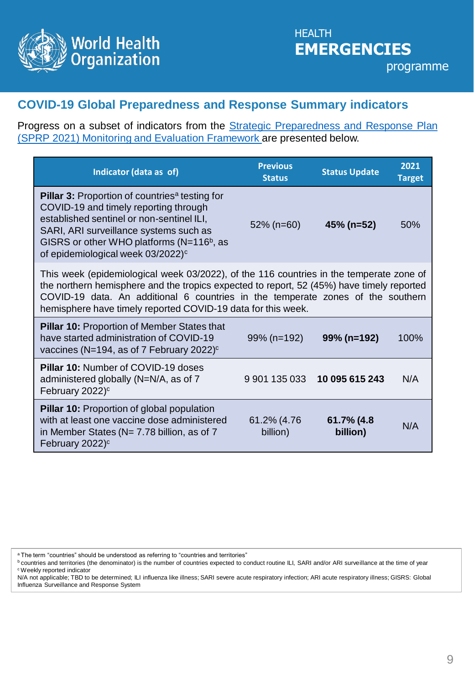

# **COVID-19 Global Preparedness and Response Summary indicators**

Progress on a subset of indicators from the **Strategic [Preparedness](https://www.who.int/publications/i/item/WHO-WHE-2021.07-eng) and Response Plan** (SPRP 2021) Monitoring and Evaluation Framework are presented below.

| Indicator (data as of)                                                                                                                                                                                                                                                                                                                  | <b>Previous</b><br><b>Status</b> | <b>Status Update</b>   | 2021<br><b>Target</b> |
|-----------------------------------------------------------------------------------------------------------------------------------------------------------------------------------------------------------------------------------------------------------------------------------------------------------------------------------------|----------------------------------|------------------------|-----------------------|
| <b>Pillar 3:</b> Proportion of countries <sup>a</sup> testing for<br>COVID-19 and timely reporting through<br>established sentinel or non-sentinel ILI,<br>SARI, ARI surveillance systems such as<br>GISRS or other WHO platforms (N=116 <sup>b</sup> , as<br>of epidemiological week 03/2022) <sup>c</sup>                             | $52\%$ (n=60)                    | 45% (n=52)             | 50%                   |
| This week (epidemiological week 03/2022), of the 116 countries in the temperate zone of<br>the northern hemisphere and the tropics expected to report, 52 (45%) have timely reported<br>COVID-19 data. An additional 6 countries in the temperate zones of the southern<br>hemisphere have timely reported COVID-19 data for this week. |                                  |                        |                       |
| <b>Pillar 10: Proportion of Member States that</b><br>have started administration of COVID-19<br>vaccines (N=194, as of 7 February 2022) <sup>c</sup>                                                                                                                                                                                   | 99% (n=192)                      | 99% (n=192)            | 100%                  |
| <b>Pillar 10: Number of COVID-19 doses</b><br>administered globally (N=N/A, as of 7<br>February 2022) <sup>c</sup>                                                                                                                                                                                                                      | 9 901 135 033                    | 10 095 615 243         | N/A                   |
| <b>Pillar 10: Proportion of global population</b><br>with at least one vaccine dose administered<br>in Member States ( $N = 7.78$ billion, as of 7<br>February 2022) <sup>c</sup>                                                                                                                                                       | 61.2% (4.76<br>billion)          | 61.7% (4.8<br>billion) | N/A                   |

<sup>a</sup>The term "countries" should be understood as referring to "countries and territories"

**b** countries and territories (the denominator) is the number of countries expected to conduct routine ILI, SARI and/or ARI surveillance at the time of year <sup>c</sup>Weekly reported indicator

N/A not applicable; TBD to be determined; ILI influenza like illness; SARI severe acute respiratory infection; ARI acute respiratory illness; GISRS: Global Influenza Surveillance and Response System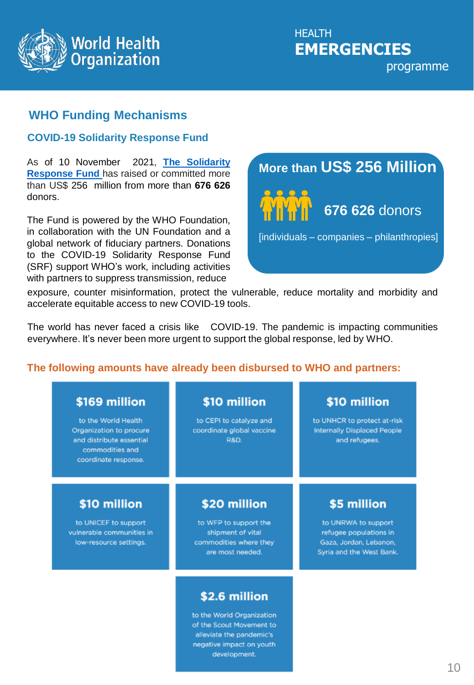

# **WHO Funding Mechanisms**

#### **COVID-19 Solidarity Response Fund**

As of 10 November 2021, **The Solidarity [Response](https://covid19responsefund.org/en/) Fund** has raised or committed more than US\$ 256 million from more than **676 626** donors.

The Fund is powered by the WHO Foundation, in collaboration with the UN Foundation and a global network of fiduciary partners. Donations to the COVID-19 Solidarity Response Fund (SRF) support WHO's work, including activities with partners to suppress transmission, reduce

# **More than US\$ 256 Million**



[individuals – companies – philanthropies]

exposure, counter misinformation, protect the vulnerable, reduce mortality and morbidity and accelerate equitable access to new COVID-19 tools.

The world has never faced a crisis like COVID-19. The pandemic is impacting communities everywhere. It's never been more urgent to support the global response, led by WHO.

### **The following amounts have already been disbursed to WHO and partners:**

| \$169 million                                                                                                         | \$10 million                                                            | \$10 million                                                                |
|-----------------------------------------------------------------------------------------------------------------------|-------------------------------------------------------------------------|-----------------------------------------------------------------------------|
| to the World Health<br>Organization to procure<br>and distribute essential<br>commodities and<br>coordinate response. | to CEPI to catalyze and<br>coordinate global vaccine<br><b>R&amp;D.</b> | to UNHCR to protect at-risk<br>Internally Displaced People<br>and refugees. |
| \$10 million                                                                                                          | \$20 million                                                            | \$5 million                                                                 |
|                                                                                                                       |                                                                         |                                                                             |

to the World Organization of the Scout Movement to alleviate the pandemic's negative impact on youth development.